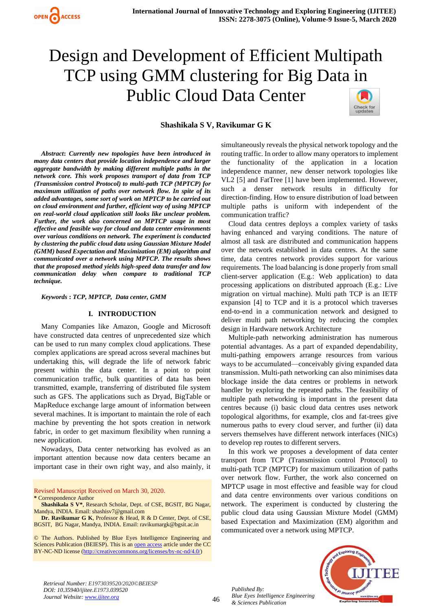

# Design and Development of Efficient Multipath TCP using GMM clustering for Big Data in Public Cloud Data Center



## **Shashikala S V, Ravikumar G K**

*Abstract***:** *Currently new topologies have been introduced in many data centers that provide location independence and larger aggregate bandwidth by making different multiple paths in the network core. This work proposes transport of data from TCP (Transmission control Protocol) to multi-path TCP (MPTCP) for maximum utilization of paths over network flow. In spite of its added advantages, some sort of work on MPTCP to be carried out on cloud environment and further, efficient way of using MPTCP on real-world cloud application still looks like unclear problem. Further, the work also concerned on MPTCP usage in most effective and feasible way for cloud and data center environments over various conditions on network. The experiment is conducted by clustering the public cloud data using Gaussian Mixture Model (GMM) based Expectation and Maximization (EM) algorithm and communicated over a network using MPTCP. The results shows that the proposed method yields high-speed data transfer and low communication delay when compare to traditional TCP technique.*

*Keywords* **:** *TCP, MPTCP, Data center, GMM*

## **I. INTRODUCTION**

Many Companies like Amazon, Google and Microsoft have constructed data centres of unprecedented size which can be used to run many complex cloud applications. These complex applications are spread across several machines but undertaking this, will degrade the life of network fabric present within the data center. In a point to point communication traffic, bulk quantities of data has been transmitted, example, transferring of distributed file system such as GFS. The applications such as Dryad, BigTable or MapReduce exchange large amount of information between several machines. It is important to maintain the role of each machine by preventing the hot spots creation in network fabric, in order to get maximum flexibility when running a new application.

Nowadays, Data center networking has evolved as an important attention because now data centers became an important case in their own right way, and also mainly, it

Revised Manuscript Received on March 30, 2020.

**\*** Correspondence Author

**Dr. Ravikumar G K**, Professor & Head, R & D Center, Dept. of CSE, BGSIT, BG Nagar, Mandya, INDIA. Email: ravikumargk@bgsit.ac.in

© The Authors. Published by Blue Eyes Intelligence Engineering and Sciences Publication (BEIESP). This is a[n open access](https://www.openaccess.nl/en/open-publications) article under the CC BY-NC-ND license [\(http://creativecommons.org/licenses/by-nc-nd/4.0/\)](http://creativecommons.org/licenses/by-nc-nd/4.0/)

simultaneously reveals the physical network topology and the routing traffic. In order to allow many operators to implement the functionality of the application in a location independence manner, new denser network topologies like VL2 [5] and FatTree [1] have been implemented. However, such a denser network results in difficulty for direction-finding. How to ensure distribution of load between multiple paths is uniform with independent of the communication traffic?

Cloud data centres deploys a complex variety of tasks having enhanced and varying conditions. The nature of almost all task are distributed and communication happens over the network established in data centres. At the same time, data centres network provides support for various requirements. The load balancing is done properly from small client-server application (E.g.: Web application) to data processing applications on distributed approach (E.g.: Live migration on virtual machine). Multi path TCP is an IETF expansion [4] to TCP and it is a protocol which traverses end-to-end in a communication network and designed to deliver multi path networking by reducing the complex design in Hardware network Architecture

Multiple-path networking administration has numerous potential advantages. As a part of expanded dependability, multi-pathing empowers arrange resources from various ways to be accumulated—conceivably giving expanded data transmission. Multi-path networking can also minimises data blockage inside the data centres or problems in network handler by exploring the repeated paths. The feasibility of multiple path networking is important in the present data centres because (i) basic cloud data centres uses network topological algorithms, for example, clos and fat-trees give numerous paths to every cloud server, and further (ii) data servers themselves have different network interfaces (NICs) to develop rep routes to different servers.

In this work we proposes a development of data center transport from TCP (Transmission control Protocol) to multi-path TCP (MPTCP) for maximum utilization of paths over network flow. Further, the work also concerned on MPTCP usage in most effective and feasible way for cloud and data centre environments over various conditions on network. The experiment is conducted by clustering the public cloud data using Gaussian Mixture Model (GMM) based Expectation and Maximization (EM) algorithm and communicated over a network using MPTCP.

*Retrieval Number: E1973039520/2020©BEIESP DOI: 10.35940/ijitee.E1973.039520 Journal Website[: www.ijitee.org](http://www.ijitee.org/)*



**Shashikala S V\***, Research Scholar, Dept. of CSE, BGSIT, BG Nagar, Mandya, INDIA. Email: shashisv7@gmail.com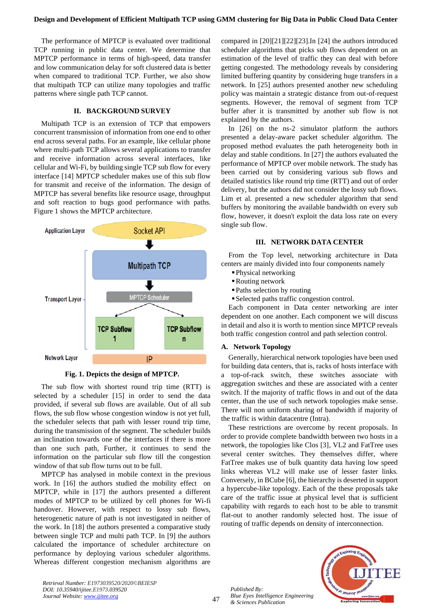## **Design and Development of Efficient Multipath TCP using GMM clustering for Big Data in Public Cloud Data Center**

The performance of MPTCP is evaluated over traditional TCP running in public data center. We determine that MPTCP performance in terms of high-speed, data transfer and low communication delay for soft clustered data is better when compared to traditional TCP. Further, we also show that multipath TCP can utilize many topologies and traffic patterns where single path TCP cannot.

## **II. BACKGROUND SURVEY**

Multipath TCP is an extension of TCP that empowers concurrent transmission of information from one end to other end across several paths. For an example, like cellular phone where multi-path TCP allows several applications to transfer and receive information across several interfaces, like cellular and Wi-Fi, by building single TCP sub flow for every interface [14] MPTCP scheduler makes use of this sub flow for transmit and receive of the information. The design of MPTCP has several benefits like resource usage, throughput and soft reaction to bugs good performance with paths. Figure 1 shows the MPTCP architecture.



**Fig. 1. Depicts the design of MPTCP.**

The sub flow with shortest round trip time (RTT) is selected by a scheduler [15] in order to send the data provided, if several sub flows are available. Out of all sub flows, the sub flow whose congestion window is not yet full, the scheduler selects that path with lesser round trip time, during the transmission of the segment. The scheduler builds an inclination towards one of the interfaces if there is more than one such path, Further, it continues to send the information on the particular sub flow till the congestion window of that sub flow turns out to be full.

MPTCP has analysed in mobile context in the previous work. In [16] the authors studied the mobility effect on MPTCP, while in [17] the authors presented a different modes of MPTCP to be utilized by cell phones for Wi-fi handover. However, with respect to lossy sub flows, heterogenetic nature of path is not investigated in neither of the work. In [18] the authors presented a comparative study between single TCP and multi path TCP. In [9] the authors calculated the importance of scheduler architecture on performance by deploying various scheduler algorithms. Whereas different congestion mechanism algorithms are compared in [20][21][22][23].In [24] the authors introduced scheduler algorithms that picks sub flows dependent on an estimation of the level of traffic they can deal with before getting congested. The methodology reveals by considering limited buffering quantity by considering huge transfers in a network. In [25] authors presented another new scheduling policy was maintain a strategic distance from out-of-request segments. However, the removal of segment from TCP buffer after it is transmitted by another sub flow is not explained by the authors.

In [26] on the ns-2 simulator platform the authors presented a delay-aware packet scheduler algorithm. The proposed method evaluates the path heterogeneity both in delay and stable conditions. In [27] the authors evaluated the performance of MPTCP over mobile network. The study has been carried out by considering various sub flows and detailed statistics like round trip time (RTT) and out of order delivery, but the authors did not consider the lossy sub flows. Lim et al. presented a new scheduler algorithm that send buffers by monitoring the available bandwidth on every sub flow, however, it doesn't exploit the data loss rate on every single sub flow.

# **III. NETWORK DATA CENTER**

From the Top level, networking architecture in Data centers are mainly divided into four components namely

- ▪Physical networking
- Routing network
- ▪Paths selection by routing
- ▪Selected paths traffic congestion control.

Each component in Data center networking are inter dependent on one another. Each component we will discuss in detail and also it is worth to mention since MPTCP reveals both traffic congestion control and path selection control.

#### **A. Network Topology**

Generally, hierarchical network topologies have been used for building data centers, that is, racks of hosts interface with a top-of-rack switch, these switches associate with aggregation switches and these are associated with a center switch. If the majority of traffic flows in and out of the data center, than the use of such network topologies make sense. There will non uniform sharing of bandwidth if majority of the traffic is within datacentre (Intra).

These restrictions are overcome by recent proposals. In order to provide complete bandwidth between two hosts in a network, the topologies like Clos [3], VL2 and FatTree uses several center switches. They themselves differ, where FatTree makes use of bulk quantity data having low speed links whereas VL2 will make use of lesser faster links. Conversely, in BCube [6], the hierarchy is deserted in support a hypercube-like topology. Each of the these proposals take care of the traffic issue at physical level that is sufficient capability with regards to each host to be able to transmit flat-out to another randomly selected host. The issue of routing of traffic depends on density of interconnection.



*Retrieval Number: E1973039520/2020©BEIESP DOI: 10.35940/ijitee.E1973.039520 Journal Website[: www.ijitee.org](http://www.ijitee.org/)*

47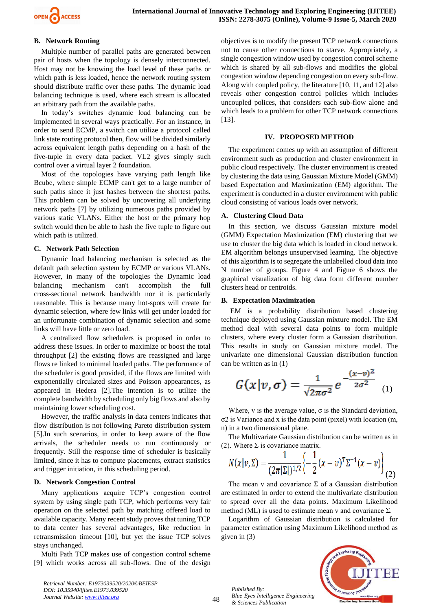

# **B. Network Routing**

Multiple number of parallel paths are generated between pair of hosts when the topology is densely interconnected. Host may not be knowing the load level of these paths or which path is less loaded, hence the network routing system should distribute traffic over these paths. The dynamic load balancing technique is used, where each stream is allocated an arbitrary path from the available paths.

In today's switches dynamic load balancing can be implemented in several ways practically. For an instance, in order to send ECMP, a switch can utilize a protocol called link state routing protocol then, flow will be divided similarly across equivalent length paths depending on a hash of the five-tuple in every data packet. VL2 gives simply such control over a virtual layer 2 foundation.

Most of the topologies have varying path length like Bcube, where simple ECMP can't get to a large number of such paths since it just hashes between the shortest paths. This problem can be solved by uncovering all underlying network paths [7] by utilizing numerous paths provided by various static VLANs. Either the host or the primary hop switch would then be able to hash the five tuple to figure out which path is utilized.

## **C. Network Path Selection**

Dynamic load balancing mechanism is selected as the default path selection system by ECMP or various VLANs. However, in many of the topologies the Dynamic load balancing mechanism can't accomplish the full cross-sectional network bandwidth nor it is particularly reasonable. This is because many hot-spots will create for dynamic selection, where few links will get under loaded for an unfortunate combination of dynamic selection and some links will have little or zero load.

A centralized flow schedulers is proposed in order to address these issues. In order to maximize or boost the total throughput [2] the existing flows are reassigned and large flows re linked to minimal loaded paths. The performance of the scheduler is good provided, if the flows are limited with exponentially circulated sizes and Poisson appearances, as appeared in Hedera [2].The intention is to utilize the complete bandwidth by scheduling only big flows and also by maintaining lower scheduling cost.

However, the traffic analysis in data centers indicates that flow distribution is not following Pareto distribution system [5].In such scenarios, in order to keep aware of the flow arrivals, the scheduler needs to run continuously or frequently. Still the response time of scheduler is basically limited, since it has to compute placements, extract statistics and trigger initiation, in this scheduling period.

## **D. Network Congestion Control**

Many applications acquire TCP's congestion control system by using single path TCP, which performs very fair operation on the selected path by matching offered load to available capacity. Many recent study proves that tuning TCP to data center has several advantages, like reduction in retransmission timeout [10], but yet the issue TCP solves stays unchanged.

Multi Path TCP makes use of congestion control scheme [9] which works across all sub-flows. One of the design objectives is to modify the present TCP network connections not to cause other connections to starve. Appropriately, a single congestion window used by congestion control scheme which is shared by all sub-flows and modifies the global congestion window depending congestion on every sub-flow. Along with coupled policy, the literature [10, 11, and 12] also reveals other congestion control policies which includes uncoupled polices, that considers each sub-flow alone and which leads to a problem for other TCP network connections [13].

#### **IV. PROPOSED METHOD**

The experiment comes up with an assumption of different environment such as production and cluster environment in public cloud respectively. The cluster environment is created by clustering the data using Gaussian Mixture Model (GMM) based Expectation and Maximization (EM) algorithm. The experiment is conducted in a cluster environment with public cloud consisting of various loads over network.

#### **A. Clustering Cloud Data**

In this section, we discuss Gaussian mixture model (GMM) Expectation Maximization (EM) clustering that we use to cluster the big data which is loaded in cloud network. EM algorithm belongs unsupervised learning. The objective of this algorithm is to segregate the unlabelled cloud data into N number of groups. Figure 4 and Figure 6 shows the graphical visualization of big data form different number clusters head or centroids.

#### **B. Expectation Maximization**

EM is a probability distribution based clustering technique deployed using Gaussian mixture model. The EM method deal with several data points to form multiple clusters, where every cluster form a Gaussian distribution. This results in study on Gaussian mixture model. The univariate one dimensional Gaussian distribution function can be written as in (1)  $\overline{a}$ 

$$
G(x|v,\sigma)=\frac{1}{\sqrt{2\pi\sigma^2}}e^{-\frac{(x-v)^2}{2\sigma^2}}\quad (1)
$$

Where, v is the average value,  $\sigma$  is the Standard deviation, σ2 is Variance and x is the data point (pixel) with location (m, n) in a two dimensional plane.

The Multivariate Gaussian distribution can be written as in (2). Where  $\Sigma$  is covariance matrix.

$$
N(x|v, \Sigma) = \frac{1}{(2\pi|\Sigma|)^{1/2}} \left\{-\frac{1}{2}(x-v)^{T}\Sigma^{-1}(x-v)\right\}_{(2)}
$$

The mean v and covariance  $\Sigma$  of a Gaussian distribution are estimated in order to extend the multivariate distribution to spread over all the data points. Maximum Likelihood method (ML) is used to estimate mean v and covariance  $\Sigma$ .

Logarithm of Gaussian distribution is calculated for parameter estimation using Maximum Likelihood method as given in (3)



*Retrieval Number: E1973039520/2020©BEIESP DOI: 10.35940/ijitee.E1973.039520 Journal Website[: www.ijitee.org](http://www.ijitee.org/)*

48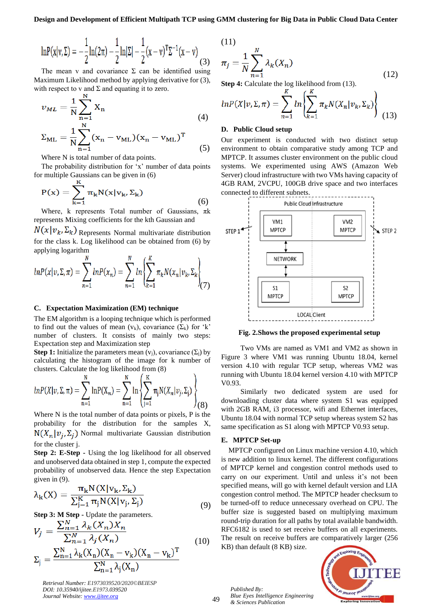$(11)$ 

$$
\ln P(x|v, \Sigma) = -\frac{1}{2}\ln(2\pi) - \frac{1}{2}\ln|\Sigma| - \frac{1}{2}(x-v)^{T}\Sigma^{-1}(x-v) \tag{3}
$$

The mean v and covariance  $\Sigma$  can be identified using Maximum Likelihood method by applying derivative for (3), with respect to v and  $\Sigma$  and equating it to zero.

$$
v_{ML} = \frac{1}{N} \sum_{n=1}^{N} X_n
$$
\n<sup>(4)</sup>

$$
\Sigma_{\rm ML} = \frac{1}{N} \sum_{n=1}^{N} (x_n - v_{\rm ML}) (x_n - v_{\rm ML})^{\rm T}
$$
 (5)

Where N is total number of data points.

The probability distribution for 'x' number of data points for multiple Gaussians can be given in (6)

$$
P(x) = \sum_{k=1}^{N} \pi_k N(x|v_k, \Sigma_k)
$$
\n(6)

Where, k represents Total number of Gaussians,  $\pi$ k represents Mixing coefficients for the kth Gaussian and

 $N(x|v_k, \Sigma_k)$  Represents Normal multivariate distribution for the class k. Log likelihood can be obtained from (6) by applying logarithm

$$
lnP(x|v, \Sigma, \pi) = \sum_{n=1}^{N} lnP(x_n) = \sum_{n=1}^{N} ln \left\{ \sum_{k=1}^{K} \pi_k N(x_n | v_k, \Sigma_k) \right\}
$$
(7)

## **C. Expectation Maximization (EM) technique**

The EM algorithm is a looping technique which is performed to find out the values of mean  $(v_k)$ , covariance  $(\Sigma_k)$  for 'k' number of clusters. It consists of mainly two steps: Expectation step and Maximization step

**Step 1:** Initialize the parameters mean  $(v_i)$ , covariance  $(\Sigma_i)$  by calculating the histogram of the image for k number of clusters. Calculate the log likelihood from (8)

$$
ln P(X|v, \Sigma, \pi) = \sum_{n=1}^{N} ln P(X_n) = \sum_{n=1}^{N} ln \left\{ \sum_{j=1}^{K} \pi_j N(X_n|v_j, \Sigma_j) \right\}_{(8)}
$$

Where N is the total number of data points or pixels, P is the probability for the distribution for the samples X,  $N(X_n|v_i, \Sigma_i)$  Normal multivariate Gaussian distribution for the cluster j.

**Step 2: E-Step -** Using the log likelihood for all observed and unobserved data obtained in step 1, compute the expected probability of unobserved data. Hence the step Expectation given in (9).

$$
\lambda_{k}(X) = \frac{\pi_{k}N(X|v_{k}, \Sigma_{k})}{\sum_{j=1}^{K} \pi_{j}N(X|v_{j}, \Sigma_{j})}
$$
\n(9)

**Step 3: M Step -** Update the parameters.

$$
V_j = \frac{\sum_{n=1}^{N} \lambda_k (X_n) X_n}{\sum_{n=1}^{N} \lambda_j (X_n)} \n\Sigma_j = \frac{\sum_{n=1}^{N} \lambda_k (X_n) (X_n - v_k) (X_n - v_k)^T}{\sum_{n=1}^{N} \lambda_j (X_n)}
$$
\n(10)

*Retrieval Number: E1973039520/2020©BEIESP DOI: 10.35940/ijitee.E1973.039520 Journal Website[: www.ijitee.org](http://www.ijitee.org/)*

(11)  

$$
\pi_j = \frac{1}{N} \sum_{n=1}^{N} \lambda_k(X_n)
$$
(12)

**Step 4:** Calculate the log likelihood from (13).  $\cdot$  V

$$
lnP(X|v, \Sigma, \pi) = \sum_{n=1}^{N} ln \left\{ \sum_{k=1}^{N} \pi_k N(X_n|v_k, \Sigma_k) \right\}
$$
(13)

#### **D. Public Cloud setup**

Our experiment is conducted with two distinct setup environment to obtain comparative study among TCP and MPTCP. It assumes cluster environment on the public cloud systems. We experimented using AWS (Amazon Web Server) cloud infrastructure with two VMs having capacity of 4GB RAM, 2VCPU, 100GB drive space and two interfaces connected to different subnets.



**Fig. 2.Shows the proposed experimental setup**

Two VMs are named as VM1 and VM2 as shown in Figure 3 where VM1 was running Ubuntu 18.04, kernel version 4.10 with regular TCP setup, whereas VM2 was running with Ubuntu 18.04 kernel version 4.10 with MPTCP V0.93.

Similarly two dedicated system are used for downloading cluster data where system S1 was equipped with 2GB RAM, i3 processor, wifi and Ethernet interfaces, Ubuntu 18.04 with normal TCP setup whereas system S2 has same specification as S1 along with MPTCP V0.93 setup.

#### **E. MPTCP Set-up**

MPTCP configured on Linux machine version 4.10, which is new addition to linux kernel. The different configurations of MPTCP kernel and congestion control methods used to carry on our experiment. Until and unless it's not been specified means, will go with kernel default version and LIA congestion control method. The MPTCP header checksum to be turned-off to reduce unnecessary overhead on CPU. The buffer size is suggested based on multiplying maximum round-trip duration for all paths by total available bandwidth. RFC6182 is used to set receive buffers on all experiments. The result on receive buffers are comparatively larger (256 KB) than default (8 KB) size.

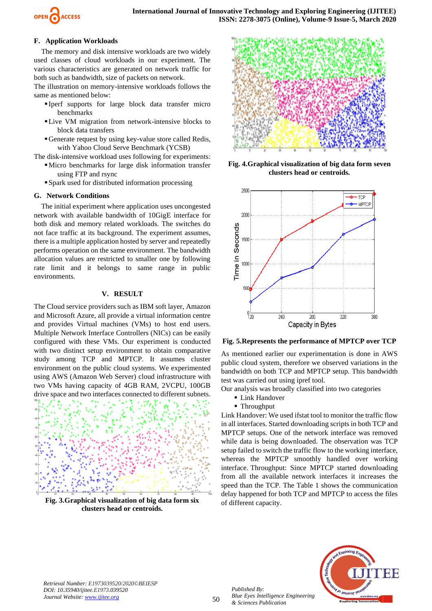

# **F. Application Workloads**

The memory and disk intensive workloads are two widely used classes of cloud workloads in our experiment. The various characteristics are generated on network traffic for both such as bandwidth, size of packets on network.

The illustration on memory-intensive workloads follows the same as mentioned below:

- Iperf supports for large block data transfer micro benchmarks
- ▪Live VM migration from network-intensive blocks to block data transfers
- ▪Generate request by using key-value store called Redis, with Yahoo Cloud Serve Benchmark (YCSB)

The disk-intensive workload uses following for experiments:

- ▪Micro benchmarks for large disk information transfer using FTP and rsync
- ▪Spark used for distributed information processing

# **G. Network Conditions**

The initial experiment where application uses uncongested network with available bandwidth of 10GigE interface for both disk and memory related workloads. The switches do not face traffic at its background. The experiment assumes, there is a multiple application hosted by server and repeatedly performs operation on the same environment. The bandwidth allocation values are restricted to smaller one by following rate limit and it belongs to same range in public environments.

# **V. RESULT**

The Cloud service providers such as IBM soft layer, Amazon and Microsoft Azure, all provide a virtual information centre and provides Virtual machines (VMs) to host end users. Multiple Network Interface Controllers (NICs) can be easily configured with these VMs. Our experiment is conducted with two distinct setup environment to obtain comparative study among TCP and MPTCP. It assumes cluster environment on the public cloud systems. We experimented using AWS (Amazon Web Server) cloud infrastructure with two VMs having capacity of 4GB RAM, 2VCPU, 100GB drive space and two interfaces connected to different subnets.



**Fig. 3.Graphical visualization of big data form six clusters head or centroids.**



**Fig. 4.Graphical visualization of big data form seven clusters head or centroids.**



**Fig. 5.Represents the performance of MPTCP over TCP**

As mentioned earlier our experimentation is done in AWS public cloud system, therefore we observed variations in the bandwidth on both TCP and MPTCP setup. This bandwidth test was carried out using ipref tool.

Our analysis was broadly classified into two categories

- **Link Handover**
- Throughput

Link Handover: We used ifstat tool to monitor the traffic flow in all interfaces. Started downloading scripts in both TCP and MPTCP setups. One of the network interface was removed while data is being downloaded. The observation was TCP setup failed to switch the traffic flow to the working interface, whereas the MPTCP smoothly handled over working interface. Throughput: Since MPTCP started downloading from all the available network interfaces it increases the speed than the TCP. The Table 1 shows the communication delay happened for both TCP and MPTCP to access the files of different capacity.



*Retrieval Number: E1973039520/2020©BEIESP DOI: 10.35940/ijitee.E1973.039520 Journal Website[: www.ijitee.org](http://www.ijitee.org/)*

50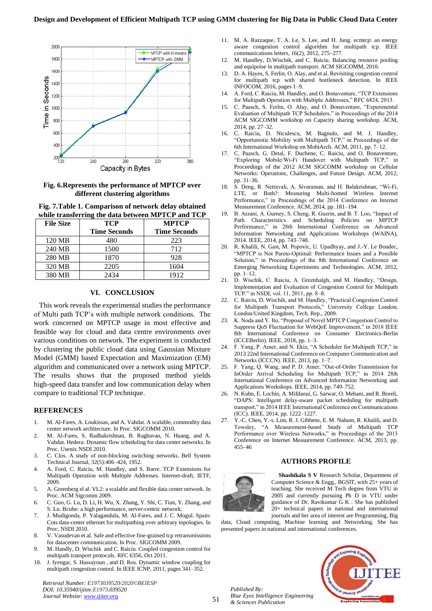

**Fig. 6.Represents the performance of MPTCP over different clustering algorithms**

**Fig. 7.Table 1. Comparison of network delay obtained while transferring the data between MPTCP and TCP**

| <b>File Size</b> | <b>TCP</b>          | <b>MPTCP</b>        |
|------------------|---------------------|---------------------|
|                  | <b>Time Seconds</b> | <b>Time Seconds</b> |
| 120 MB           | 480                 | 223                 |
| 240 MB           | 1500                | 712                 |
| 280 MB           | 1870                | 928                 |
| 320 MB           | 2205                | 1604                |
| 380 MB           | 2434                | 1912                |

# **VI. CONCLUSION**

This work reveals the experimental studies the performance of Multi path TCP's with multiple network conditions. The work concerned on MPTCP usage in most effective and feasible way for cloud and data centre environments over various conditions on network. The experiment is conducted by clustering the public cloud data using Gaussian Mixture Model (GMM) based Expectation and Maximization (EM) algorithm and communicated over a network using MPTCP. The results shows that the proposed method yields high-speed data transfer and low communication delay when compare to traditional TCP technique.

#### **REFERENCES**

- 1. M. Al-Fares, A. Loukissas, and A. Vahdat. A scalable, commodity data center network architecture. In Proc. SIGCOMM 2010.
- 2. M. Al-Fares, S. Radhakrishnan, B. Raghavan, N. Huang, and A. Vahdat. Hedera: Dynamic flow scheduling for data center networks. In Proc. Usenix NSDI 2010.
- 3. C. Clos. A study of non-blocking switching networks. Bell System Technical Journal, 32(5):406–424, 1952.
- 4. A. Ford, C. Raiciu, M. Handley, and S. Barre. TCP Extensions for Multipath Operation with Multiple Addresses. Internet-draft, IETF, 2009.
- 5. A. Greenberg el al. VL2: a scalable and flexible data center network. In Proc. ACM Sigcomm 2009.
- 6. C. Guo, G. Lu, D. Li, H. Wu, X. Zhang, Y. Shi, C. Tian, Y. Zhang, and S. Lu. Bcube: a high performance, server-centric network.
- 7. J. Mudigonda, P. Yalagandula, M. Al-Fares, and J. C. Mogul. Spain: Cots data-center ethernet for multipathing over arbitrary topologies. In Proc. NSDI 2010.
- 8. V. Vasudevan et al. Safe and effective fine-grained tcp retransmissions for datacenter communication. In Proc. SIGCOMM 2009.
- 9. M. Handly, D. Wischik and C. Raiciu. Coupled congestion control for multipath transport protocols. RFC 6356, Oct 2011.
- 10. J. Iyengar, S. Hassayoun , and D. Ros. Dynamic window coupling for multipath congestion control. In IEEE ICNP, 2011, pages 341–352.

*Retrieval Number: E1973039520/2020©BEIESP DOI: 10.35940/ijitee.E1973.039520 Journal Website[: www.ijitee.org](http://www.ijitee.org/)*

- 11. M. A. Razzaque, T. A. Le, S. Lee, and H. Jung. ecmtcp: an energy aware congestion control algorithm for multipath tcp. IEEE communications letters, 16(2), 2012, 275–277.
- 12. M. Handley, D.Wischik, and C. Raiciu. Balancing resource pooling and equipoise in multipath transport. ACM SIGCOMM, 2010.
- 13. D. A. Hayes, S. Ferlin, O. Alay, and et al. Revisiting congestion control for multipath tcp with shared bottleneck detection. In IEEE INFOCOM, 2016, pages 1–9.
- 14. A. Ford, C. Raiciu, M. Handley, and O. Bonaventure, "TCP Extensions for Multipath Operation with Multiple Addresses," RFC 6824, 2013.
- 15. C. Paasch, S. Ferlin, O. Alay, and O. Bonaventure, "Experimental Evaluation of Multipath TCP Schedulers," in Proceedings of the 2014 ACM SIGCOMM workshop on Capacity sharing workshop. ACM, 2014, pp. 27–32.
- 16. C. Raiciu, D. Niculescu, M. Bagnulo, and M. J. Handley, "Opportunistic Mobility with Multipath TCP," in Proceedings of the 6th International Workshop on MobiArch. ACM, 2011, pp. 7–12.
- 17. C. Paasch, G. Detal, F. Duchene, C. Raiciu, and O. Bonaventure, "Exploring Mobile/Wi-Fi Handover with Multipath TCP," in Proceedings of the 2012 ACM SIGCOMM workshop on Cellular Networks: Operations, Challenges, and Future Design. ACM, 2012, pp. 31–36.
- 18. S. Deng, R. Netravali, A. Sivaraman, and H. Balakrishnan, "Wi-Fi, LTE, or Both?: Measuring Multi-homed Wireless Internet Performance," in Proceedings of the 2014 Conference on Internet Measurement Conference. ACM, 2014, pp. 181–194
- 19. B. Arzani, A. Gurney, S. Cheng, R. Guerin, and B. T. Loo, "Impact of Path Characteristics and Scheduling Policies on MPTCP Performance," in 28th International Conference on Advanced Information Networking and Applications Workshops (WAINA), 2014. IEEE, 2014, pp. 743–748.
- 20. R. Khalili, N. Gast, M. Popovic, U. Upadhyay, and J.-Y. Le Boudec, "MPTCP is Not Pareto-Optimal: Performance Issues and a Possible Solution," in Proceedings of the 8th International Conference on Emerging Networking Experiments and Technologies. ACM, 2012, pp. 1–12.
- 21. D. Wischik, C. Raiciu, A. Greenhalgh, and M. Handley, "Design, Implementation and Evaluation of Congestion Control for Multipath TCP." in NSDI, vol. 11, 2011, pp. 8–8.
- 22. C. Raiciu, D. Wischik, and M. Handley, "Practical Congestion Control for Multipath Transport Protocols," University College London, London/United Kingdom, Tech. Rep., 2009.
- 23. K. Noda and Y. Ito, "Proposal of Novel MPTCP Congestion Control to Suppress QoS Fluctuation for WebQoE Improvement," in 2018 IEEE 8th International Conference on Consumer Electronics-Berlin (ICCEBerlin). IEEE, 2018, pp. 1–3.
- 24. F. Yang, P. Amer, and N. Ekiz, "A Scheduler for Multipath TCP," in 2013 22nd International Conference on Computer Communication and Networks (ICCCN). IEEE, 2013, pp. 1–7.
- 25. F. Yang, Q. Wang, and P. D. Amer, "Out-of-Order Transmission for InOrder Arrival Scheduling for Multipath TCP," in 2014 28th International Conference on Advanced Information Networking and Applications Workshops. IEEE, 2014, pp. 749–752.
- 26. N. Kuhn, E. Lochin, A. Mifdaoui, G. Sarwar, O. Mehani, and R. Boreli, "DAPS: Intelligent delay-aware packet scheduling for multipath transport," in 2014 IEEE International Conference on Communications (ICC). IEEE, 2014, pp. 1222–1227.
- 27. Y.-C. Chen, Y.-s. Lim, R. J. Gibbens, E. M. Nahum, R. Khalili, and D. Towsley, "A Measurement-based Study of Multipath TCP Performance over Wireless Networks," in Proceedings of the 2013 Conference on Internet Measurement Conference. ACM, 2013, pp. 455–46

#### **AUTHORS PROFILE**



**Shashikala S V** Research Scholar, Department of Computer Science & Engg., BGSIT, with 25+ years of teaching. She received M Tech degree from VTU in 2005 and currently pursuing Ph D in VTU under guidance of Dr. Ravikumar G K . She has published 20+ technical papers in national and international journals and her area of interest are Programming, Big

data, Cloud computing, Machine learning and Networking. She has presented papers in national and international conferences.

*Published By: Blue Eyes Intelligence Engineering & Sciences Publication* 



51